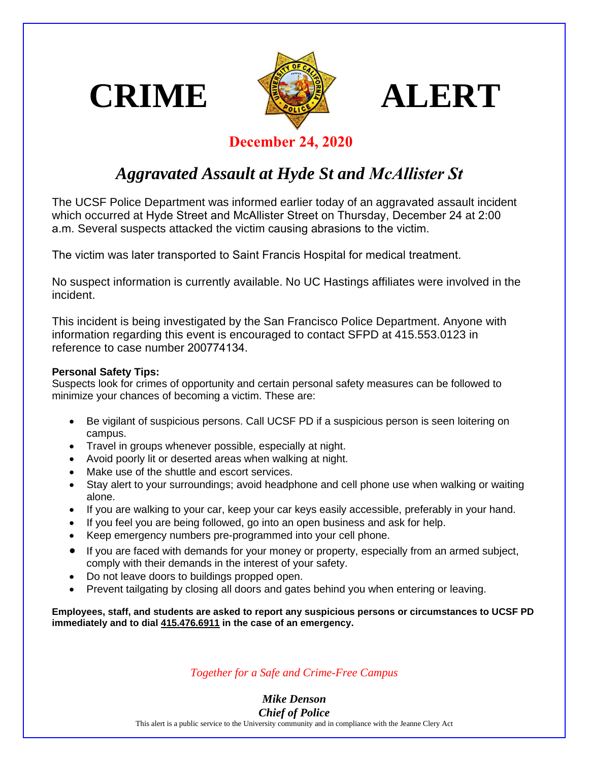





## **December 24, 2020**

## *Aggravated Assault at Hyde St and McAllister St*

The UCSF Police Department was informed earlier today of an aggravated assault incident which occurred at Hyde Street and McAllister Street on Thursday, December 24 at 2:00 a.m. Several suspects attacked the victim causing abrasions to the victim.

The victim was later transported to Saint Francis Hospital for medical treatment.

No suspect information is currently available. No UC Hastings affiliates were involved in the incident.

This incident is being investigated by the San Francisco Police Department. Anyone with information regarding this event is encouraged to contact SFPD at 415.553.0123 in reference to case number 200774134.

## **Personal Safety Tips:**

Suspects look for crimes of opportunity and certain personal safety measures can be followed to minimize your chances of becoming a victim. These are:

- Be vigilant of suspicious persons. Call UCSF PD if a suspicious person is seen loitering on campus.
- Travel in groups whenever possible, especially at night.
- Avoid poorly lit or deserted areas when walking at night.
- Make use of the shuttle and escort services.
- Stay alert to your surroundings; avoid headphone and cell phone use when walking or waiting alone.
- If you are walking to your car, keep your car keys easily accessible, preferably in your hand.
- If you feel you are being followed, go into an open business and ask for help.
- Keep emergency numbers pre-programmed into your cell phone.
- If you are faced with demands for your money or property, especially from an armed subject, comply with their demands in the interest of your safety.
- Do not leave doors to buildings propped open.
- Prevent tailgating by closing all doors and gates behind you when entering or leaving.

**Employees, staff, and students are asked to report any suspicious persons or circumstances to UCSF PD immediately and to dial 415.476.6911 in the case of an emergency.** 

*Together for a Safe and Crime-Free Campus* 

*Mike Denson Chief of Police*

This alert is a public service to the University community and in compliance with the Jeanne Clery Act